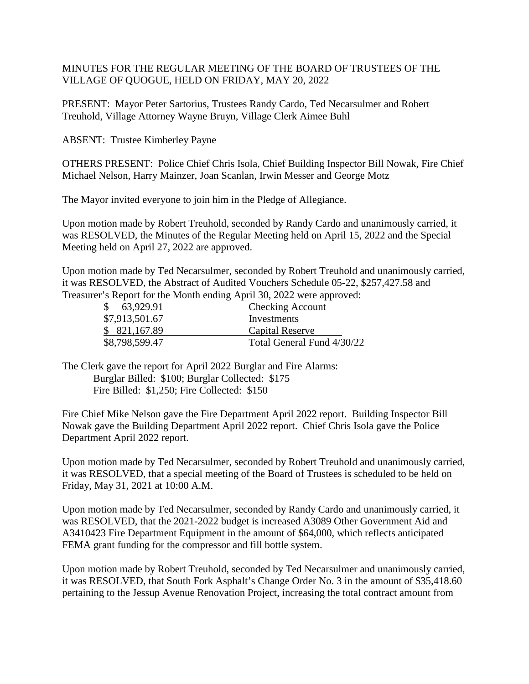## MINUTES FOR THE REGULAR MEETING OF THE BOARD OF TRUSTEES OF THE VILLAGE OF QUOGUE, HELD ON FRIDAY, MAY 20, 2022

PRESENT: Mayor Peter Sartorius, Trustees Randy Cardo, Ted Necarsulmer and Robert Treuhold, Village Attorney Wayne Bruyn, Village Clerk Aimee Buhl

ABSENT: Trustee Kimberley Payne

OTHERS PRESENT: Police Chief Chris Isola, Chief Building Inspector Bill Nowak, Fire Chief Michael Nelson, Harry Mainzer, Joan Scanlan, Irwin Messer and George Motz

The Mayor invited everyone to join him in the Pledge of Allegiance.

Upon motion made by Robert Treuhold, seconded by Randy Cardo and unanimously carried, it was RESOLVED, the Minutes of the Regular Meeting held on April 15, 2022 and the Special Meeting held on April 27, 2022 are approved.

Upon motion made by Ted Necarsulmer, seconded by Robert Treuhold and unanimously carried, it was RESOLVED, the Abstract of Audited Vouchers Schedule 05-22, \$257,427.58 and Treasurer's Report for the Month ending April 30, 2022 were approved:

| \$63,929.91    | <b>Checking Account</b>    |
|----------------|----------------------------|
| \$7,913,501.67 | Investments                |
| \$ 821,167.89  | Capital Reserve            |
| \$8,798,599.47 | Total General Fund 4/30/22 |

The Clerk gave the report for April 2022 Burglar and Fire Alarms: Burglar Billed: \$100; Burglar Collected: \$175 Fire Billed: \$1,250; Fire Collected: \$150

Fire Chief Mike Nelson gave the Fire Department April 2022 report. Building Inspector Bill Nowak gave the Building Department April 2022 report. Chief Chris Isola gave the Police Department April 2022 report.

Upon motion made by Ted Necarsulmer, seconded by Robert Treuhold and unanimously carried, it was RESOLVED, that a special meeting of the Board of Trustees is scheduled to be held on Friday, May 31, 2021 at 10:00 A.M.

Upon motion made by Ted Necarsulmer, seconded by Randy Cardo and unanimously carried, it was RESOLVED, that the 2021-2022 budget is increased A3089 Other Government Aid and A3410423 Fire Department Equipment in the amount of \$64,000, which reflects anticipated FEMA grant funding for the compressor and fill bottle system.

Upon motion made by Robert Treuhold, seconded by Ted Necarsulmer and unanimously carried, it was RESOLVED, that South Fork Asphalt's Change Order No. 3 in the amount of \$35,418.60 pertaining to the Jessup Avenue Renovation Project, increasing the total contract amount from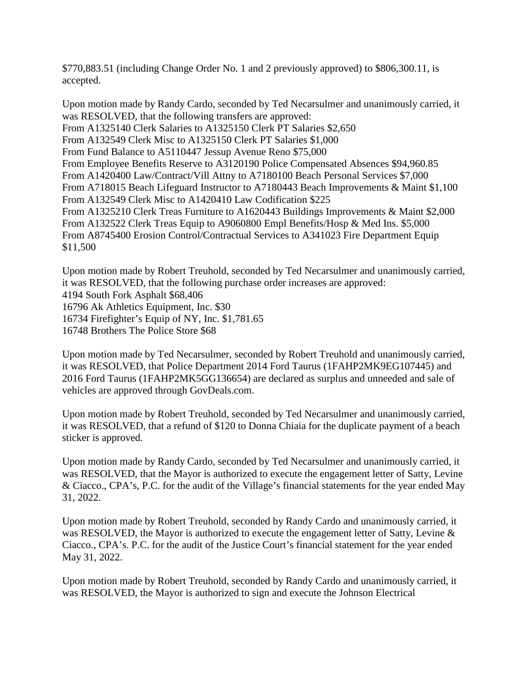\$770,883.51 (including Change Order No. 1 and 2 previously approved) to \$806,300.11, is accepted.

Upon motion made by Randy Cardo, seconded by Ted Necarsulmer and unanimously carried, it was RESOLVED, that the following transfers are approved: From A1325140 Clerk Salaries to A1325150 Clerk PT Salaries \$2,650 From A132549 Clerk Misc to A1325150 Clerk PT Salaries \$1,000 From Fund Balance to A5110447 Jessup Avenue Reno \$75,000 From Employee Benefits Reserve to A3120190 Police Compensated Absences \$94,960.85 From A1420400 Law/Contract/Vill Attny to A7180100 Beach Personal Services \$7,000 From A718015 Beach Lifeguard Instructor to A7180443 Beach Improvements & Maint \$1,100 From A132549 Clerk Misc to A1420410 Law Codification \$225 From A1325210 Clerk Treas Furniture to A1620443 Buildings Improvements & Maint \$2,000 From A132522 Clerk Treas Equip to A9060800 Empl Benefits/Hosp & Med Ins. \$5,000 From A8745400 Erosion Control/Contractual Services to A341023 Fire Department Equip \$11,500

Upon motion made by Robert Treuhold, seconded by Ted Necarsulmer and unanimously carried, it was RESOLVED, that the following purchase order increases are approved: 4194 South Fork Asphalt \$68,406 16796 Ak Athletics Equipment, Inc. \$30 16734 Firefighter's Equip of NY, Inc. \$1,781.65 16748 Brothers The Police Store \$68

Upon motion made by Ted Necarsulmer, seconded by Robert Treuhold and unanimously carried, it was RESOLVED, that Police Department 2014 Ford Taurus (1FAHP2MK9EG107445) and 2016 Ford Taurus (1FAHP2MK5GG136654) are declared as surplus and unneeded and sale of vehicles are approved through GovDeals.com.

Upon motion made by Robert Treuhold, seconded by Ted Necarsulmer and unanimously carried, it was RESOLVED, that a refund of \$120 to Donna Chiaia for the duplicate payment of a beach sticker is approved.

Upon motion made by Randy Cardo, seconded by Ted Necarsulmer and unanimously carried, it was RESOLVED, that the Mayor is authorized to execute the engagement letter of Satty, Levine & Ciacco., CPA's, P.C. for the audit of the Village's financial statements for the year ended May 31, 2022.

Upon motion made by Robert Treuhold, seconded by Randy Cardo and unanimously carried, it was RESOLVED, the Mayor is authorized to execute the engagement letter of Satty, Levine & Ciacco., CPA's. P.C. for the audit of the Justice Court's financial statement for the year ended May 31, 2022.

Upon motion made by Robert Treuhold, seconded by Randy Cardo and unanimously carried, it was RESOLVED, the Mayor is authorized to sign and execute the Johnson Electrical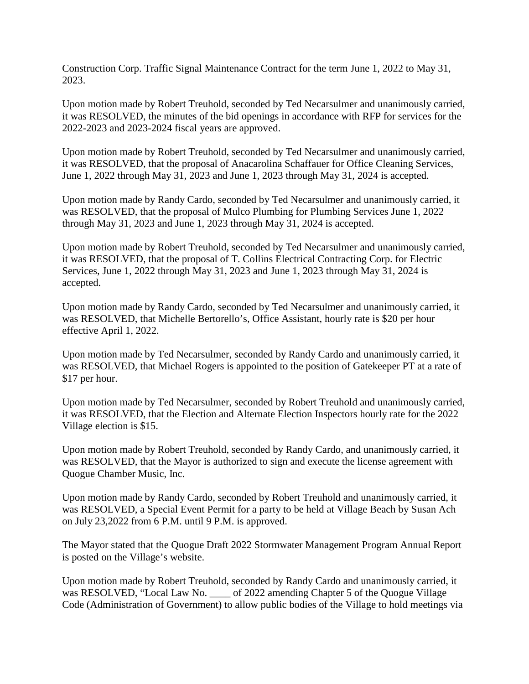Construction Corp. Traffic Signal Maintenance Contract for the term June 1, 2022 to May 31, 2023.

Upon motion made by Robert Treuhold, seconded by Ted Necarsulmer and unanimously carried, it was RESOLVED, the minutes of the bid openings in accordance with RFP for services for the 2022-2023 and 2023-2024 fiscal years are approved.

Upon motion made by Robert Treuhold, seconded by Ted Necarsulmer and unanimously carried, it was RESOLVED, that the proposal of Anacarolina Schaffauer for Office Cleaning Services, June 1, 2022 through May 31, 2023 and June 1, 2023 through May 31, 2024 is accepted.

Upon motion made by Randy Cardo, seconded by Ted Necarsulmer and unanimously carried, it was RESOLVED, that the proposal of Mulco Plumbing for Plumbing Services June 1, 2022 through May 31, 2023 and June 1, 2023 through May 31, 2024 is accepted.

Upon motion made by Robert Treuhold, seconded by Ted Necarsulmer and unanimously carried, it was RESOLVED, that the proposal of T. Collins Electrical Contracting Corp. for Electric Services, June 1, 2022 through May 31, 2023 and June 1, 2023 through May 31, 2024 is accepted.

Upon motion made by Randy Cardo, seconded by Ted Necarsulmer and unanimously carried, it was RESOLVED, that Michelle Bertorello's, Office Assistant, hourly rate is \$20 per hour effective April 1, 2022.

Upon motion made by Ted Necarsulmer, seconded by Randy Cardo and unanimously carried, it was RESOLVED, that Michael Rogers is appointed to the position of Gatekeeper PT at a rate of \$17 per hour.

Upon motion made by Ted Necarsulmer, seconded by Robert Treuhold and unanimously carried, it was RESOLVED, that the Election and Alternate Election Inspectors hourly rate for the 2022 Village election is \$15.

Upon motion made by Robert Treuhold, seconded by Randy Cardo, and unanimously carried, it was RESOLVED, that the Mayor is authorized to sign and execute the license agreement with Quogue Chamber Music, Inc.

Upon motion made by Randy Cardo, seconded by Robert Treuhold and unanimously carried, it was RESOLVED, a Special Event Permit for a party to be held at Village Beach by Susan Ach on July 23,2022 from 6 P.M. until 9 P.M. is approved.

The Mayor stated that the Quogue Draft 2022 Stormwater Management Program Annual Report is posted on the Village's website.

Upon motion made by Robert Treuhold, seconded by Randy Cardo and unanimously carried, it was RESOLVED, "Local Law No. \_\_\_\_ of 2022 amending Chapter 5 of the Quogue Village Code (Administration of Government) to allow public bodies of the Village to hold meetings via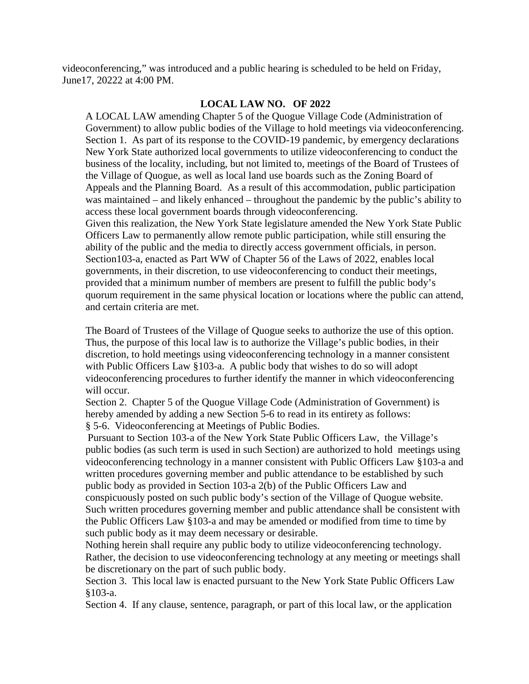videoconferencing," was introduced and a public hearing is scheduled to be held on Friday, June17, 20222 at 4:00 PM.

## **LOCAL LAW NO. OF 2022**

A LOCAL LAW amending Chapter 5 of the Quogue Village Code (Administration of Government) to allow public bodies of the Village to hold meetings via videoconferencing. Section 1. As part of its response to the COVID-19 pandemic, by emergency declarations New York State authorized local governments to utilize videoconferencing to conduct the business of the locality, including, but not limited to, meetings of the Board of Trustees of the Village of Quogue, as well as local land use boards such as the Zoning Board of Appeals and the Planning Board. As a result of this accommodation, public participation was maintained – and likely enhanced – throughout the pandemic by the public's ability to access these local government boards through videoconferencing. Given this realization, the New York State legislature amended the New York State Public

Officers Law to permanently allow remote public participation, while still ensuring the ability of the public and the media to directly access government officials, in person. Section103-a, enacted as Part WW of Chapter 56 of the Laws of 2022, enables local governments, in their discretion, to use videoconferencing to conduct their meetings, provided that a minimum number of members are present to fulfill the public body's quorum requirement in the same physical location or locations where the public can attend, and certain criteria are met.

The Board of Trustees of the Village of Quogue seeks to authorize the use of this option. Thus, the purpose of this local law is to authorize the Village's public bodies, in their discretion, to hold meetings using videoconferencing technology in a manner consistent with Public Officers Law §103-a. A public body that wishes to do so will adopt videoconferencing procedures to further identify the manner in which videoconferencing will occur.

Section 2. Chapter 5 of the Quogue Village Code (Administration of Government) is hereby amended by adding a new Section 5-6 to read in its entirety as follows: § 5-6. Videoconferencing at Meetings of Public Bodies.

Pursuant to Section 103-a of the New York State Public Officers Law, the Village's public bodies (as such term is used in such Section) are authorized to hold meetings using videoconferencing technology in a manner consistent with Public Officers Law §103-a and written procedures governing member and public attendance to be established by such public body as provided in Section 103-a 2(b) of the Public Officers Law and conspicuously posted on such public body's section of the Village of Quogue website. Such written procedures governing member and public attendance shall be consistent with the Public Officers Law §103-a and may be amended or modified from time to time by such public body as it may deem necessary or desirable.

Nothing herein shall require any public body to utilize videoconferencing technology. Rather, the decision to use videoconferencing technology at any meeting or meetings shall be discretionary on the part of such public body.

Section 3. This local law is enacted pursuant to the New York State Public Officers Law §103-a.

Section 4. If any clause, sentence, paragraph, or part of this local law, or the application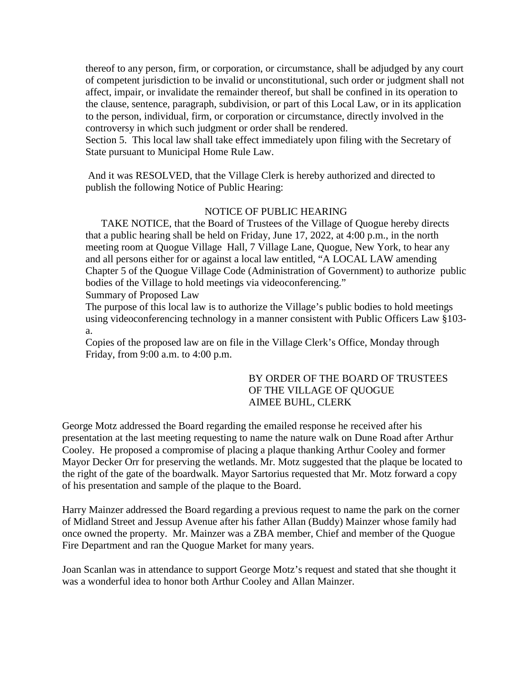thereof to any person, firm, or corporation, or circumstance, shall be adjudged by any court of competent jurisdiction to be invalid or unconstitutional, such order or judgment shall not affect, impair, or invalidate the remainder thereof, but shall be confined in its operation to the clause, sentence, paragraph, subdivision, or part of this Local Law, or in its application to the person, individual, firm, or corporation or circumstance, directly involved in the controversy in which such judgment or order shall be rendered.

Section 5. This local law shall take effect immediately upon filing with the Secretary of State pursuant to Municipal Home Rule Law.

And it was RESOLVED, that the Village Clerk is hereby authorized and directed to publish the following Notice of Public Hearing:

## NOTICE OF PUBLIC HEARING

 TAKE NOTICE, that the Board of Trustees of the Village of Quogue hereby directs that a public hearing shall be held on Friday, June 17, 2022, at 4:00 p.m., in the north meeting room at Quogue Village Hall, 7 Village Lane, Quogue, New York, to hear any and all persons either for or against a local law entitled, "A LOCAL LAW amending Chapter 5 of the Quogue Village Code (Administration of Government) to authorize public bodies of the Village to hold meetings via videoconferencing." Summary of Proposed Law

The purpose of this local law is to authorize the Village's public bodies to hold meetings using videoconferencing technology in a manner consistent with Public Officers Law §103 a.

Copies of the proposed law are on file in the Village Clerk's Office, Monday through Friday, from 9:00 a.m. to 4:00 p.m.

## BY ORDER OF THE BOARD OF TRUSTEES OF THE VILLAGE OF QUOGUE AIMEE BUHL, CLERK

George Motz addressed the Board regarding the emailed response he received after his presentation at the last meeting requesting to name the nature walk on Dune Road after Arthur Cooley. He proposed a compromise of placing a plaque thanking Arthur Cooley and former Mayor Decker Orr for preserving the wetlands. Mr. Motz suggested that the plaque be located to the right of the gate of the boardwalk. Mayor Sartorius requested that Mr. Motz forward a copy of his presentation and sample of the plaque to the Board.

Harry Mainzer addressed the Board regarding a previous request to name the park on the corner of Midland Street and Jessup Avenue after his father Allan (Buddy) Mainzer whose family had once owned the property. Mr. Mainzer was a ZBA member, Chief and member of the Quogue Fire Department and ran the Quogue Market for many years.

Joan Scanlan was in attendance to support George Motz's request and stated that she thought it was a wonderful idea to honor both Arthur Cooley and Allan Mainzer.